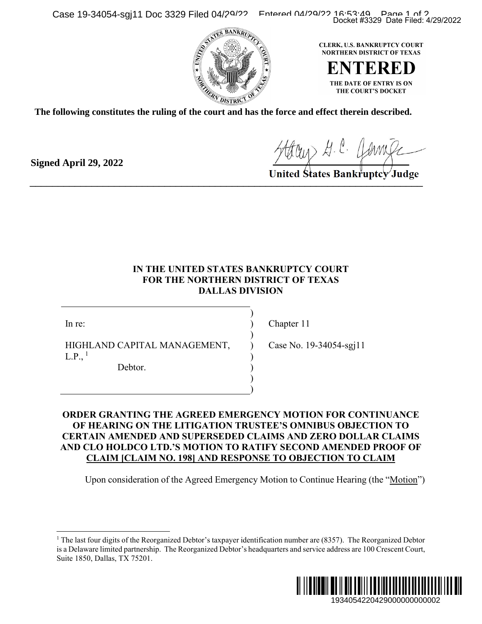Case 19-34054-sgj11 Doc 3329 Filed 04/29/22 Entered 04/29/22 16:53:49 Page 1 of 2





**The following constitutes the ruling of the court and has the force and effect therein described.**

Houry H. C. Hamile

## **IN THE UNITED STATES BANKRUPTCY COURT FOR THE NORTHERN DISTRICT OF TEXAS DALLAS DIVISION**

) ) ) ) ) ) ) )

In re:

**Signed April 29, 2022**

HIGHLAND CAPITAL MANAGEMENT,  $L.P.,<sup>1</sup>$  $L.P.,<sup>1</sup>$  $L.P.,<sup>1</sup>$ 

Debtor.

Chapter 11

Case No. 19-34054-sgj11

## **ORDER GRANTING THE AGREED EMERGENCY MOTION FOR CONTINUANCE OF HEARING ON THE LITIGATION TRUSTEE'S OMNIBUS OBJECTION TO CERTAIN AMENDED AND SUPERSEDED CLAIMS AND ZERO DOLLAR CLAIMS AND CLO HOLDCO LTD.'S MOTION TO RATIFY SECOND AMENDED PROOF OF CLAIM [CLAIM NO. 198] AND RESPONSE TO OBJECTION TO CLAIM** Docket #3329 Date Filed: 4/29/2022<br>
RK, U.S. BANKRUPTCY COURT<br>
RTHERN DISTRICT OF TEXAS<br>
THE DATE OF ENTRY IS ON<br>
THE DATE OF ENTRY IS ON<br>
THE COURT'S DOCKET<br>
CURT TOURTS DOCKET<br>
COURT DOCKET ON TO BANKTUPICY Judge<br>
BANKTU

Upon consideration of the Agreed Emergency Motion to Continue Hearing (the "Motion")

<span id="page-0-0"></span><sup>&</sup>lt;sup>1</sup> The last four digits of the Reorganized Debtor's taxpayer identification number are  $(8357)$ . The Reorganized Debtor is a Delaware limited partnership. The Reorganized Debtor's headquarters and service address are 100 Crescent Court, Suite 1850, Dallas, TX 75201.